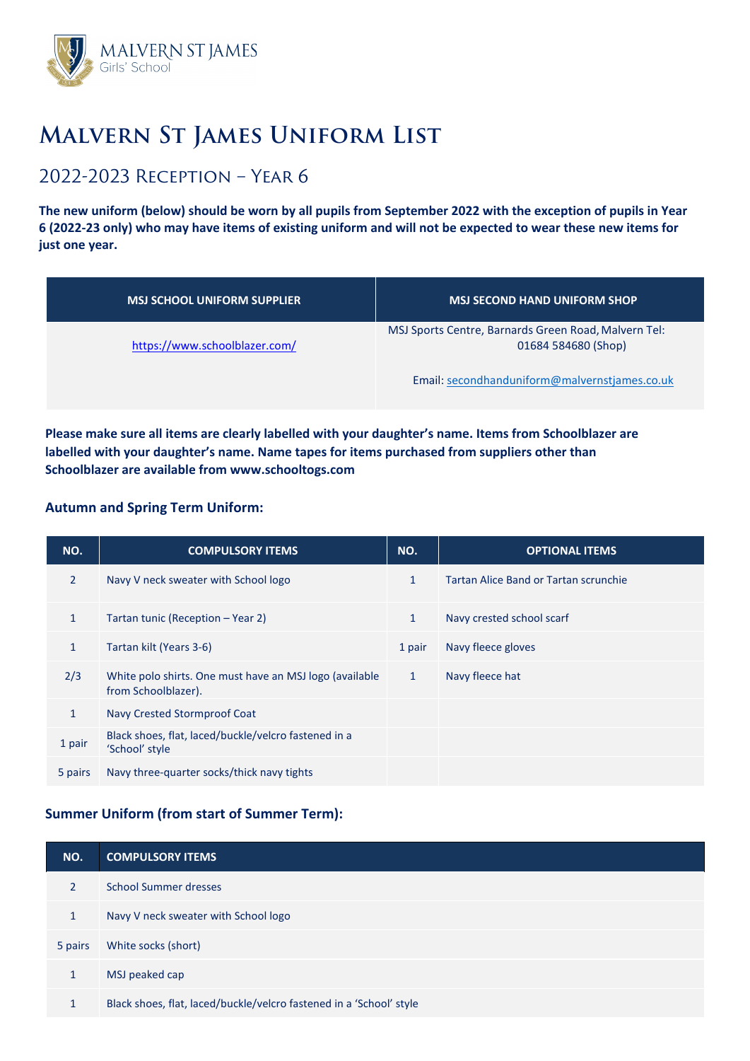

# **Malvern St James Uniform List**

## 2022-2023 Reception – Year 6

**The new uniform (below) should be worn by all pupils from September 2022 with the exception of pupils in Year 6 (2022-23 only) who may have items of existing uniform and will not be expected to wear these new items for just one year.** 

| <b>MSJ SCHOOL UNIFORM SUPPLIER</b> | <b>MSJ SECOND HAND UNIFORM SHOP</b>                                         |
|------------------------------------|-----------------------------------------------------------------------------|
| https://www.schoolblazer.com/      | MSJ Sports Centre, Barnards Green Road, Malvern Tel:<br>01684 584680 (Shop) |
|                                    | Email: secondhanduniform@malvernstjames.co.uk                               |

**Please make sure all items are clearly labelled with your daughter's name. Items from Schoolblazer are labelled with your daughter's name. Name tapes for items purchased from suppliers other than Schoolblazer are [available from www.sch](http://www.schooltogs.com/)ooltogs.com** 

#### **Autumn and Spring Term Uniform:**

| NO.          | <b>COMPULSORY ITEMS</b>                                                        | NO.          | <b>OPTIONAL ITEMS</b>                 |
|--------------|--------------------------------------------------------------------------------|--------------|---------------------------------------|
| 2            | Navy V neck sweater with School logo                                           | $\mathbf{1}$ | Tartan Alice Band or Tartan scrunchie |
| $\mathbf{1}$ | Tartan tunic (Reception - Year 2)                                              | $\mathbf{1}$ | Navy crested school scarf             |
| $\mathbf{1}$ | Tartan kilt (Years 3-6)                                                        | 1 pair       | Navy fleece gloves                    |
| 2/3          | White polo shirts. One must have an MSJ logo (available<br>from Schoolblazer). | $\mathbf{1}$ | Navy fleece hat                       |
| $\mathbf{1}$ | Navy Crested Stormproof Coat                                                   |              |                                       |
| 1 pair       | Black shoes, flat, laced/buckle/velcro fastened in a<br>'School' style         |              |                                       |
| 5 pairs      | Navy three-quarter socks/thick navy tights                                     |              |                                       |

#### **Summer Uniform (from start of Summer Term):**

| NO.           | <b>COMPULSORY ITEMS</b>                                             |
|---------------|---------------------------------------------------------------------|
| $\mathcal{P}$ | School Summer dresses                                               |
| $\mathbf{1}$  | Navy V neck sweater with School logo                                |
| 5 pairs       | White socks (short)                                                 |
| $\mathbf{1}$  | MSJ peaked cap                                                      |
| $\mathbf{1}$  | Black shoes, flat, laced/buckle/velcro fastened in a 'School' style |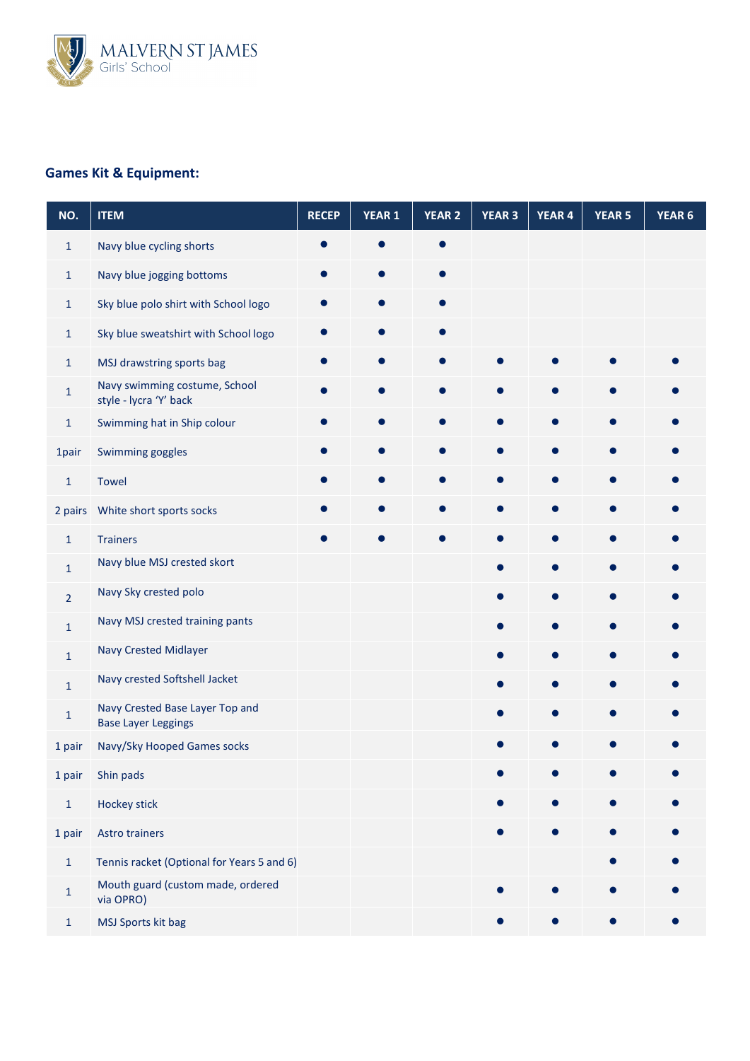

### **Games Kit & Equipment:**

| NO.            | <b>ITEM</b>                                                   | <b>RECEP</b> | YEAR 1 | <b>YEAR 2</b> | <b>YEAR 3</b> | <b>YEAR 4</b> | <b>YEAR 5</b> | YEAR 6 |
|----------------|---------------------------------------------------------------|--------------|--------|---------------|---------------|---------------|---------------|--------|
| $\mathbf{1}$   | Navy blue cycling shorts                                      |              |        |               |               |               |               |        |
| $\mathbf{1}$   | Navy blue jogging bottoms                                     |              |        |               |               |               |               |        |
| $\mathbf{1}$   | Sky blue polo shirt with School logo                          |              |        |               |               |               |               |        |
| $\mathbf{1}$   | Sky blue sweatshirt with School logo                          |              |        |               |               |               |               |        |
| $\mathbf{1}$   | MSJ drawstring sports bag                                     |              |        |               |               |               |               |        |
| $\mathbf 1$    | Navy swimming costume, School<br>style - lycra 'Y' back       |              |        |               |               | $\bullet$     |               |        |
| $\mathbf{1}$   | Swimming hat in Ship colour                                   |              |        |               |               | $\bullet$     |               |        |
| 1pair          | Swimming goggles                                              |              |        |               |               | ●             |               |        |
| $\mathbf{1}$   | <b>Towel</b>                                                  |              |        |               |               |               |               |        |
| 2 pairs        | White short sports socks                                      |              |        |               |               | ●             |               |        |
| $\mathbf{1}$   | <b>Trainers</b>                                               |              |        |               |               | $\bullet$     |               |        |
| $\mathbf{1}$   | Navy blue MSJ crested skort                                   |              |        |               |               | O             |               |        |
| $\overline{2}$ | Navy Sky crested polo                                         |              |        |               |               |               |               |        |
| $\mathbf{1}$   | Navy MSJ crested training pants                               |              |        |               |               |               |               |        |
| $\mathbf 1$    | Navy Crested Midlayer                                         |              |        |               |               |               |               |        |
| $\mathbf{1}$   | Navy crested Softshell Jacket                                 |              |        |               |               |               |               |        |
| $\mathbf 1$    | Navy Crested Base Layer Top and<br><b>Base Layer Leggings</b> |              |        |               |               |               |               |        |
| 1 pair         | Navy/Sky Hooped Games socks                                   |              |        |               |               |               |               |        |
| 1 pair         | Shin pads                                                     |              |        |               |               |               |               |        |
| $\mathbf 1$    | Hockey stick                                                  |              |        |               |               |               |               |        |
| 1 pair         | <b>Astro trainers</b>                                         |              |        |               |               |               |               |        |
| $\mathbf 1$    | Tennis racket (Optional for Years 5 and 6)                    |              |        |               |               |               |               |        |
| $\mathbf 1$    | Mouth guard (custom made, ordered<br>via OPRO)                |              |        |               |               |               |               |        |
| $\mathbf{1}$   | MSJ Sports kit bag                                            |              |        |               |               |               |               |        |